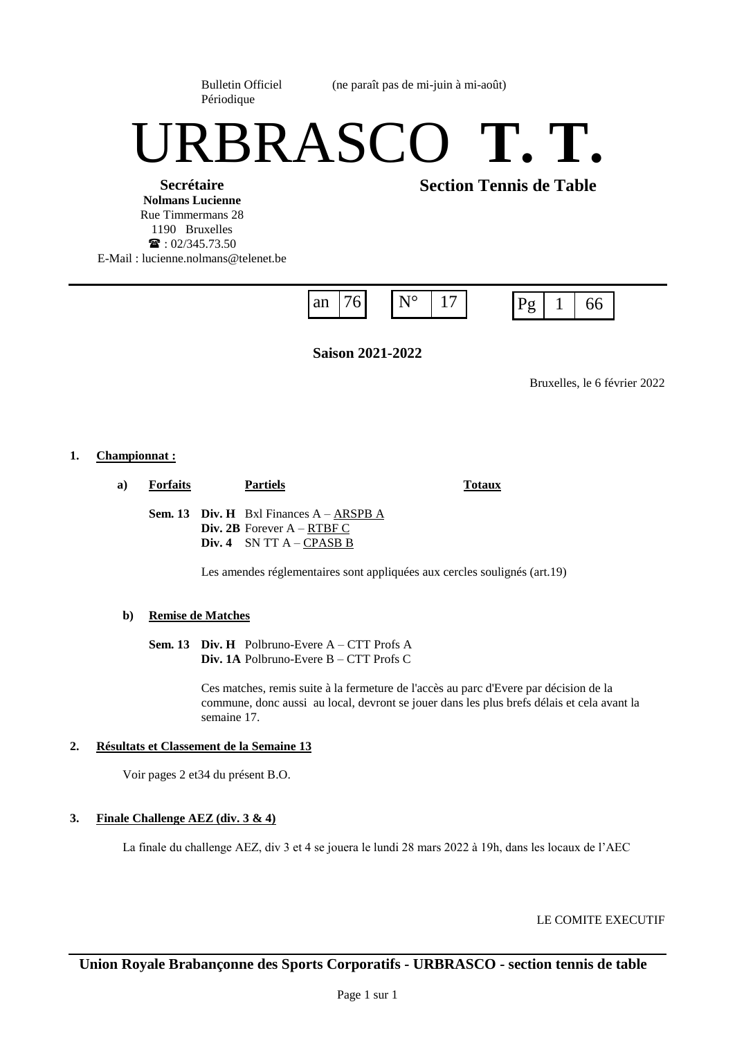Périodique

Bulletin Officiel (ne paraît pas de mi-juin à mi-août)

# URBRASCO **T. T.**

**Secrétaire Nolmans Lucienne** Rue Timmermans 28 1190 Bruxelles  $\mathbf{R}$ : 02/345.73.50 E-Mail : lucienne.nolmans@telenet.be **Section Tennis de Table**



**Saison 2021-2022**

Bruxelles, le 6 février 2022

# **1. Championnat :**

**a) Forfaits Partiels Totaux**

**Sem. 13 Div. H** Bxl Finances A – ARSPB A **Div. 2B** Forever A – RTBF C **Div. 4** SN TT A – CPASB B

Les amendes réglementaires sont appliquées aux cercles soulignés (art.19)

# **b) Remise de Matches**

**Sem. 13 Div. H** Polbruno-Evere A – CTT Profs A **Div. 1A** Polbruno-Evere B – CTT Profs C

> Ces matches, remis suite à la fermeture de l'accès au parc d'Evere par décision de la commune, donc aussi au local, devront se jouer dans les plus brefs délais et cela avant la semaine 17.

# **2. Résultats et Classement de la Semaine 13**

Voir pages 2 et34 du présent B.O.

# **3. Finale Challenge AEZ (div. 3 & 4)**

La finale du challenge AEZ, div 3 et 4 se jouera le lundi 28 mars 2022 à 19h, dans les locaux de l'AEC

LE COMITE EXECUTIF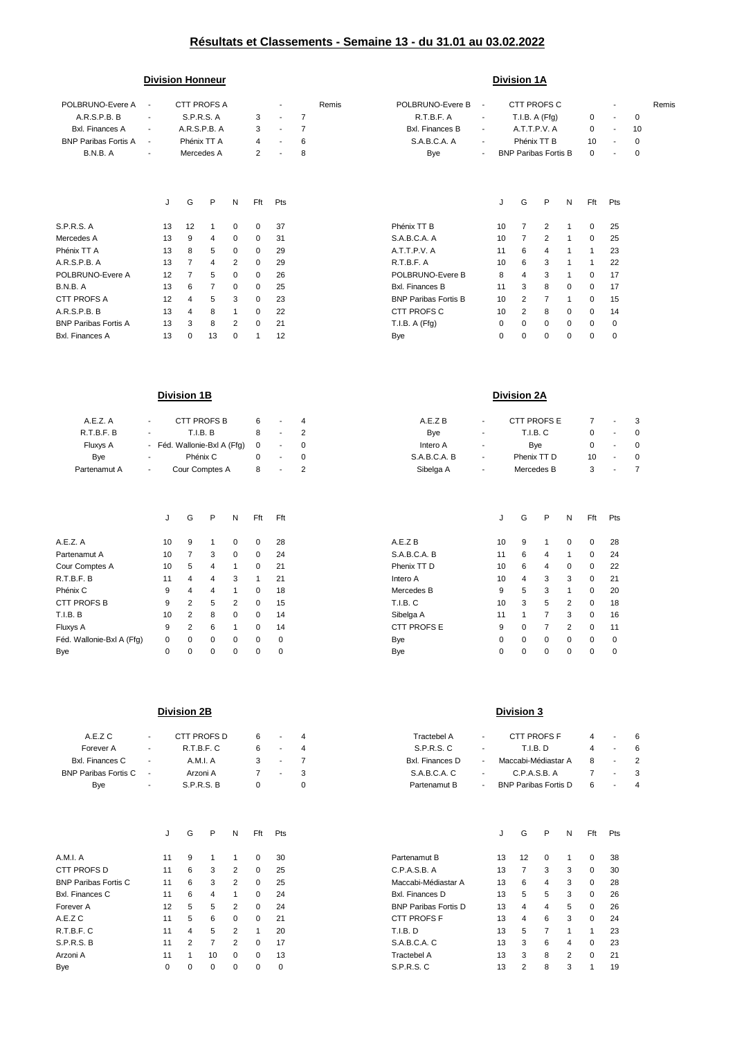# **Résultats et Classements - Semaine 13 - du 31.01 au 03.02.2022**

## **Division Honneur Division 1A**

| POLBRUNO-Evere A            |                          | CTT PROFS A<br>$\overline{\phantom{a}}$ |                |                   |             | Remis<br>$\blacksquare$ |                |                | POLBRUNO-Evere B            | CTT PROFS C<br>$\overline{\phantom{a}}$ |    |                             |                |   |              |                          |             | Remis |
|-----------------------------|--------------------------|-----------------------------------------|----------------|-------------------|-------------|-------------------------|----------------|----------------|-----------------------------|-----------------------------------------|----|-----------------------------|----------------|---|--------------|--------------------------|-------------|-------|
| A.R.S.P.B. B                | $\sim$                   |                                         |                | <b>S.P.R.S. A</b> |             | 3                       | $\blacksquare$ | $\overline{7}$ | R.T.B.F. A                  | $\overline{\phantom{a}}$                |    | T.I.B. A (Ffg)              |                |   | $\mathbf{0}$ | $\blacksquare$           | 0           |       |
| <b>Bxl.</b> Finances A      | $\sim$                   |                                         | A.R.S.P.B. A   |                   |             | 3                       | $\blacksquare$ | 7              | <b>Bxl.</b> Finances B      | $\overline{\phantom{a}}$                |    | A.T.T.P.V. A                |                |   | 0            | $\overline{\phantom{a}}$ | 10          |       |
| <b>BNP Paribas Fortis A</b> | $\sim$                   |                                         | Phénix TT A    |                   |             | 4                       |                | 6              | S.A.B.C.A. A                | $\overline{\phantom{a}}$                |    | Phénix TT B                 |                |   | 10           | ٠                        | $\mathbf 0$ |       |
| B.N.B. A                    | $\overline{\phantom{a}}$ |                                         | Mercedes A     |                   |             | 2                       | $\blacksquare$ | 8              | Bye                         | $\overline{\phantom{a}}$                |    | <b>BNP Paribas Fortis B</b> |                |   | 0            | ٠                        | 0           |       |
|                             |                          |                                         |                |                   |             |                         |                |                |                             |                                         |    |                             |                |   |              |                          |             |       |
|                             |                          | J                                       | G              | P                 | N           | Fft                     | Pts            |                |                             |                                         | J  | G                           | P              | N | Fft          | Pts                      |             |       |
| S.P.R.S. A                  |                          | 13                                      | 12             | 1                 | 0           | $\mathbf{0}$            | 37             |                | Phénix TT B                 |                                         | 10 | 7                           | 2              |   | 0            | 25                       |             |       |
| Mercedes A                  |                          | 13                                      | 9              | 4                 | $\mathbf 0$ | 0                       | 31             |                | S.A.B.C.A. A                |                                         | 10 | $\overline{7}$              | $\overline{2}$ | 1 | $\mathbf 0$  | 25                       |             |       |
| Phénix TT A                 |                          | 13                                      | 8              | 5                 | 0           | $\mathbf{0}$            | 29             |                | A.T.T.P.V. A                |                                         | 11 | 6                           | 4              | 1 |              | 23                       |             |       |
| A.R.S.P.B. A                |                          | 13                                      | 7              | 4                 | 2           | $\mathbf{0}$            | 29             |                | R.T.B.F. A                  |                                         | 10 | 6                           | 3              |   |              | 22                       |             |       |
| POLBRUNO-Evere A            |                          | 12                                      | $\overline{7}$ | 5                 | 0           | 0                       | 26             |                | POLBRUNO-Evere B            |                                         | 8  | 4                           | 3              |   | 0            | 17                       |             |       |
| B.N.B. A                    |                          | 13                                      | 6              | 7                 | 0           | 0                       | 25             |                | <b>Bxl. Finances B</b>      |                                         | 11 | 3                           | 8              | 0 | 0            | 17                       |             |       |
| CTT PROFS A                 |                          | 12                                      | 4              | 5                 | 3           | $\mathbf{0}$            | 23             |                | <b>BNP Paribas Fortis B</b> |                                         | 10 | 2                           | 7              | 1 | $\mathbf{0}$ | 15                       |             |       |
| A.R.S.P.B. B                |                          | 13                                      | 4              | 8                 | 1           | $\mathbf{0}$            | 22             |                | CTT PROFS C                 |                                         | 10 | 2                           | 8              | 0 | 0            | 14                       |             |       |
| <b>BNP Paribas Fortis A</b> |                          | 13                                      | 3              | 8                 | 2           | 0                       | 21             |                | T.I.B. A (Ffg)              |                                         | 0  | 0                           | 0              | 0 | 0            | 0                        |             |       |
| <b>Bxl. Finances A</b>      |                          | 13                                      | 0              | 13                | 0           | 1                       | 12             |                | Bye                         |                                         | 0  | $\Omega$                    | 0              | 0 | 0            | 0                        |             |       |

| A.E.Z. A                                                                                                                                                                                                                                                                                                                                                                                                                                                       |                |        | <b>CTT PROFS B</b> |                             | 6           |                          | 4        | A.E.Z B         | $\overline{\phantom{a}}$ | CTT PROFS E |             |        | $\overline{7}$ |        | 3 |
|----------------------------------------------------------------------------------------------------------------------------------------------------------------------------------------------------------------------------------------------------------------------------------------------------------------------------------------------------------------------------------------------------------------------------------------------------------------|----------------|--------|--------------------|-----------------------------|-------------|--------------------------|----------|-----------------|--------------------------|-------------|-------------|--------|----------------|--------|---|
| R.T.B.F. B                                                                                                                                                                                                                                                                                                                                                                                                                                                     |                |        | T.I.B. B           |                             | 8           | $\overline{\phantom{a}}$ | 2        | Bye             | $\overline{\phantom{a}}$ |             | T.I.B. C    |        | 0              |        |   |
| Fluxys A                                                                                                                                                                                                                                                                                                                                                                                                                                                       |                |        |                    | - Féd. Wallonie-Bxl A (Ffg) | 0           | ٠                        | $\Omega$ | Intero A        | ٠                        |             | Bye         |        | 0              |        |   |
| Bye                                                                                                                                                                                                                                                                                                                                                                                                                                                            |                |        | Phénix C           |                             | 0           | $\overline{\phantom{a}}$ | 0        | S.A.B.C.A. B    | $\overline{\phantom{a}}$ |             | Phenix TT D |        | 10             |        |   |
| Partenamut A                                                                                                                                                                                                                                                                                                                                                                                                                                                   | $\blacksquare$ |        | Cour Comptes A     |                             | 8           | -                        | 2        | Sibelga A       | $\overline{\phantom{a}}$ |             | Mercedes B  |        | 3              |        |   |
|                                                                                                                                                                                                                                                                                                                                                                                                                                                                |                |        |                    |                             |             |                          |          |                 |                          |             |             |        |                |        |   |
|                                                                                                                                                                                                                                                                                                                                                                                                                                                                | J              | G      | P                  | N                           | Fft         | Fft                      |          |                 |                          | G           | P           | Ν      | Fft            | Pts    |   |
| A.E.Z. A                                                                                                                                                                                                                                                                                                                                                                                                                                                       | 10             | 9      |                    | 0                           | $\Omega$    | 28                       |          | A.E.Z B         | 10                       | 9           |             | 0      | $\mathbf 0$    | 28     |   |
| Partenamut A                                                                                                                                                                                                                                                                                                                                                                                                                                                   | 10             | 7      | 3                  | 0                           | $\mathbf 0$ | 24                       |          | S.A.B.C.A. B    | 11                       | 6           | 4           | 1      | 0              | 24     |   |
| Cour Comptes A                                                                                                                                                                                                                                                                                                                                                                                                                                                 | 10             | 5      | 4                  |                             | $\Omega$    | 21                       |          | Phenix TT D     | 10                       | 6           | 4           | 0      | 0              | 22     |   |
| R.T.B.F. B                                                                                                                                                                                                                                                                                                                                                                                                                                                     | 11             | 4      | 4                  | 3                           |             | 21                       |          | Intero A        | 10                       | 4           | 3           | 3      | 0              | 21     |   |
| Phénix C                                                                                                                                                                                                                                                                                                                                                                                                                                                       | 9              | 4      | 4                  |                             | $\Omega$    | 18                       |          | Mercedes B      | 9                        | 5           | 3           |        | 0              | 20     |   |
| CTT PROFS B                                                                                                                                                                                                                                                                                                                                                                                                                                                    | 9              | 2      | 5                  | 2                           | $\Omega$    | 15                       |          | <b>T.I.B. C</b> | 10                       | 3           | 5           | 2      | 0              | 18     |   |
| T.I.B. B                                                                                                                                                                                                                                                                                                                                                                                                                                                       | 10             | 2      | 8                  | 0                           | $\mathbf 0$ | 14                       |          | Sibelga A       | 11                       |             |             | 3      | 0              | 16     |   |
| Fluxys A                                                                                                                                                                                                                                                                                                                                                                                                                                                       | 9              | 2      | 6                  |                             | $\Omega$    | 14                       |          | CTT PROFS E     | 9                        | 0           |             | 2      | 0              | 11     |   |
| $\blacksquare$ $\lightharpoonup$ $\lightharpoonup$ $\lightharpoonup$ $\lightharpoonup$ $\lightharpoonup$ $\lightharpoonup$ $\lightharpoonup$ $\lightharpoonup$ $\lightharpoonup$ $\lightharpoonup$ $\lightharpoonup$ $\lightharpoonup$ $\lightharpoonup$ $\lightharpoonup$ $\lightharpoonup$ $\lightharpoonup$ $\lightharpoonup$ $\lightharpoonup$ $\lightharpoonup$ $\lightharpoonup$ $\lightharpoonup$ $\lightharpoonup$ $\lightharpoonup$ $\lightharpoonup$ | $\sim$         | $\sim$ | $\sim$             | $\sim$                      | $\sim$      | $\sim$                   |          | $\sim$          | $\sim$                   | $\sim$      | $\sim$      | $\sim$ | $\sim$         | $\sim$ |   |

## **Division 1B Division 2A**

| CTT PROFS E<br>CTT PROFS B<br>A.E.Z. A<br>A.E.Z B<br>$\sim$<br><b>Contractor</b><br>$\overline{\phantom{a}}$<br>$\overline{\phantom{a}}$<br>.T.B.F. B<br>T.I.B. B<br>T.I.B. C<br><b>B</b> ve<br>$\blacksquare$<br>$\sim$<br>$\sim$<br>$\overline{\phantom{a}}$<br>Fluxys A<br>- Féd. Wallonie-Bxl A (Ffg)<br>Intero A<br><b>B</b> ve<br>$\Omega$<br>$- 0$<br>$\overline{\phantom{a}}$<br>Bye<br>S.A.B.C.A. B<br>Phenix TT D<br>Phénix C<br>10<br>$\sim$<br>$\overline{\phantom{a}}$<br><b>Service</b> State<br>$\overline{\phantom{a}}$<br>Sibelga A<br>Cour Comptes A<br>Mercedes B<br>rtenamut A<br>$\overline{\phantom{a}}$<br>$\overline{\phantom{a}}$<br>$\overline{\phantom{a}}$ |  |  |  |  |  |          |
|----------------------------------------------------------------------------------------------------------------------------------------------------------------------------------------------------------------------------------------------------------------------------------------------------------------------------------------------------------------------------------------------------------------------------------------------------------------------------------------------------------------------------------------------------------------------------------------------------------------------------------------------------------------------------------------|--|--|--|--|--|----------|
|                                                                                                                                                                                                                                                                                                                                                                                                                                                                                                                                                                                                                                                                                        |  |  |  |  |  |          |
|                                                                                                                                                                                                                                                                                                                                                                                                                                                                                                                                                                                                                                                                                        |  |  |  |  |  | $\Omega$ |
|                                                                                                                                                                                                                                                                                                                                                                                                                                                                                                                                                                                                                                                                                        |  |  |  |  |  |          |
|                                                                                                                                                                                                                                                                                                                                                                                                                                                                                                                                                                                                                                                                                        |  |  |  |  |  | - 0      |
|                                                                                                                                                                                                                                                                                                                                                                                                                                                                                                                                                                                                                                                                                        |  |  |  |  |  |          |

|                           | J  | G        | P        | N        | Fft      | Fft      |                 | J  | G        | P        | N        | Fft      | Pts      |
|---------------------------|----|----------|----------|----------|----------|----------|-----------------|----|----------|----------|----------|----------|----------|
|                           |    |          |          |          |          |          |                 |    |          |          |          |          |          |
| A.E.Z. A                  | 10 | 9        |          | $\Omega$ | $\Omega$ | 28       | A.E.Z B         | 10 | 9        |          | $\Omega$ | 0        | 28       |
| Partenamut A              | 10 |          | 3        | $\Omega$ | $\Omega$ | 24       | S.A.B.C.A. B    | 11 | 6        | 4        |          | 0        | 24       |
| Cour Comptes A            | 10 | 5        | 4        |          | $\Omega$ | 21       | Phenix TT D     | 10 | 6        | 4        | $\Omega$ | 0        | 22       |
| R.T.B.F. B                | 11 | 4        | 4        | 3        |          | 21       | Intero A        | 10 | 4        | 3        | 3        | 0        | 21       |
| Phénix C                  | 9  | 4        | 4        |          | 0        | 18       | Mercedes B      | 9  | 5        | 3        |          | 0        | 20       |
| <b>CTT PROFS B</b>        | 9  | 2        | 5        | 2        | $\Omega$ | 15       | <b>T.I.B. C</b> | 10 | 3        | 5        | 2        | 0        | 18       |
| T.I.B. B                  | 10 | 2        | 8        | $\Omega$ | $\Omega$ | 14       | Sibelga A       | 11 |          |          | 3        | $\Omega$ | 16       |
| Fluxys A                  | 9  | 2        | 6        |          | $\Omega$ | 14       | CTT PROFS E     | 9  | $\Omega$ |          | 2        | $\Omega$ | 11       |
| Féd. Wallonie-Bxl A (Ffg) | 0  | $\Omega$ | $\Omega$ | $\Omega$ | $\Omega$ | $\Omega$ | Bye             | 0  | $\Omega$ | $\Omega$ | $\Omega$ | $\Omega$ | $\Omega$ |
| Bye                       | 0  | 0        | 0        | $\Omega$ |          | 0        | Bye             | 0  | 0        | 0        | $\Omega$ | 0        |          |

# **Division 2B Division 3**

| E.Z C                | <b>Contract Contract</b> | CTT PROFS D |   | 6 - 4 | Tractebel A     | $\sim$ | CTT PROFS F                  | 4 - 6 |       |  |
|----------------------|--------------------------|-------------|---|-------|-----------------|--------|------------------------------|-------|-------|--|
| ever A               | <b>Contractor</b>        | R.T.B.F. C  | 6 | $-4$  | S.P.R.S. C      | $\sim$ | T.I.B. D                     |       | 4 - 6 |  |
| inances C            | $\sim$                   | A.M.I. A    |   | 3 - 7 | Bxl. Finances D |        | - Maccabi-Médiastar A 8 - 2  |       |       |  |
| ibas Fortis C      - |                          | Arzoni A    |   | 7 - 3 | S.A.B.C.A.C     |        | $\sim$ C.P.A.S.B. A          | 7 - 3 |       |  |
| Bye                  | <b>Contract</b>          | S.P.R.S. B  |   |       | Partenamut B    |        | - BNP Paribas Fortis D 6 - 4 |       |       |  |
|                      |                          |             |   |       |                 |        |                              |       |       |  |

|                | G | P              | N              | Fft         | Pts |                             | J  | G  | P        | N | Fft      | Pts |
|----------------|---|----------------|----------------|-------------|-----|-----------------------------|----|----|----------|---|----------|-----|
| $\mathbf{1}$   | 9 |                |                | $\Omega$    | 30  | Partenamut B                | 13 | 12 | $\Omega$ |   | 0        | 38  |
| 1              | 6 | 3              | 2              | $\Omega$    | 25  | C.P.A.S.B. A                | 13 | 7  | 3        | 3 | $\Omega$ | 30  |
| $\mathbf{1}$   | 6 | 3              | 2              | 0           | 25  | Maccabi-Médiastar A         | 13 | 6  | 4        | 3 | $\Omega$ | 28  |
| 1              | 6 | 4              |                | $\Omega$    | 24  | <b>Bxl.</b> Finances D      | 13 | 5  | 5        | 3 | 0        | 26  |
| $\overline{2}$ | 5 | 5              | 2              | $\Omega$    | 24  | <b>BNP Paribas Fortis D</b> | 13 | 4  | 4        | 5 | $\Omega$ | 26  |
| 1              | 5 | 6              | $\Omega$       | $\Omega$    | 21  | <b>CTT PROFS F</b>          | 13 | 4  | 6        | 3 | $\Omega$ | 24  |
| 1              | 4 | 5              | $\overline{2}$ | 1           | 20  | <b>T.I.B. D</b>             | 13 | 5  | 7        |   | и        | 23  |
|                | 2 | $\overline{7}$ | 2              | $\mathbf 0$ | 17  | S.A.B.C.A. C                | 13 | 3  | 6        | 4 | $\Omega$ | 23  |
| 1              | 1 | 10             | $\Omega$       | 0           | 13  | <b>Tractebel A</b>          | 13 | 3  | 8        | 2 | 0        | 21  |
|                | 0 | 0              | 0              | 0           | 0   | S.P.R.S. C                  | 13 | 2  | 8        | 3 |          | 19  |
|                |   |                |                |             |     |                             |    |    |          |   |          |     |

| A.E.Z C                |                          | CTT PROFS D | $\overline{\phantom{a}}$ | Tractebel A     | <b>CTT PROFS F</b>          |   |     |
|------------------------|--------------------------|-------------|--------------------------|-----------------|-----------------------------|---|-----|
| Forever A              | $\overline{\phantom{a}}$ | R.T.B.F.C   | $\overline{\phantom{a}}$ | S.P.R.S.C       | T.I.B. D                    |   |     |
| <b>Bxl. Finances C</b> |                          | A.M.I. A    | $\overline{\phantom{a}}$ | Bxl. Finances D | Maccabi-Médiastar A         | 8 | - 2 |
| BNP Paribas Fortis C   |                          | Arzoni A    | $\sim$                   | S.A.B.C.A.C     | C.P.A.S.B. A                |   |     |
| <b>B</b> ve            | $\overline{\phantom{0}}$ | S.P.R.S. B  |                          | Partenamut B    | <b>BNP Paribas Fortis D</b> | b |     |

|                             | J  | G | P  | N        | Fft      | Pts |                             |    | G  | P | N | Fft      | <b>Pts</b> |
|-----------------------------|----|---|----|----------|----------|-----|-----------------------------|----|----|---|---|----------|------------|
| A.M.I. A                    | 11 | 9 |    |          | 0        | 30  | Partenamut B                | 13 | 12 |   |   | 0        | 38         |
| CTT PROFS D                 | 11 | 6 | 3  |          | 0        | 25  | C.P.A.S.B. A                | 13 |    | 3 | 3 | 0        | 30         |
| <b>BNP Paribas Fortis C</b> | 11 | 6 | 3  | 2        | $\Omega$ | 25  | Maccabi-Médiastar A         | 13 | 6  | 4 | 3 | $\Omega$ | 28         |
| <b>Bxl. Finances C</b>      | 11 | 6 | 4  |          | $\Omega$ | 24  | Bxl. Finances D             | 13 | 5  | 5 | 3 | $\Omega$ | 26         |
| Forever A                   | 12 | 5 | 5  | 2        | $\Omega$ | 24  | <b>BNP Paribas Fortis D</b> | 13 | 4  | 4 | 5 | $\Omega$ | 26         |
| A.E.Z C                     | 11 | 5 | 6  | $\Omega$ | $\Omega$ | 21  | <b>CTT PROFS F</b>          | 13 | 4  | 6 | 3 | $\Omega$ | 24         |
| R.T.B.F.C                   | 11 | 4 | 5  | 2        |          | 20  | <b>T.I.B. D</b>             | 13 | 5  |   |   |          | 23         |
| S.P.R.S.B                   | 11 | 2 |    | 2        | $\Omega$ | 17  | S.A.B.C.A. C                | 13 | 3  | 6 | 4 | $\Omega$ | 23         |
| Arzoni A                    | 11 |   | 10 | $\Omega$ | $\Omega$ | 13  | Tractebel A                 | 13 | 3  | 8 | 2 | $\Omega$ | 21         |
| Bye                         |    |   | 0  | 0        |          |     | S.P.R.S. C                  | 13 | 2  | 8 | 3 |          | 19         |